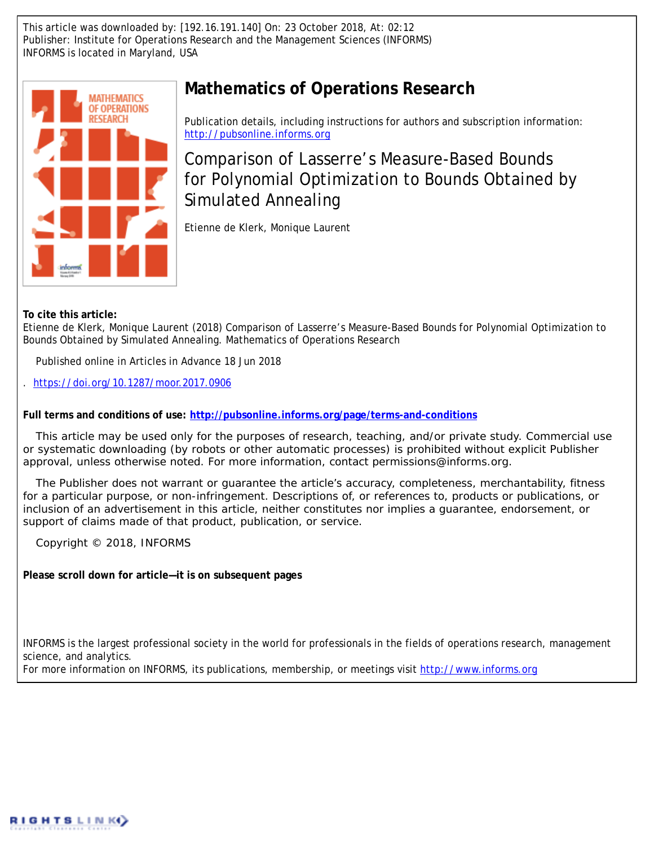This article was downloaded by: [192.16.191.140] On: 23 October 2018, At: 02:12 Publisher: Institute for Operations Research and the Management Sciences (INFORMS) INFORMS is located in Maryland, USA



# **Mathematics of Operations Research**

Publication details, including instructions for authors and subscription information: <http://pubsonline.informs.org>

Comparison of Lasserre's Measure-Based Bounds for Polynomial Optimization to Bounds Obtained by Simulated Annealing

Etienne de Klerk, Monique Laurent

**To cite this article:**

Etienne de Klerk, Monique Laurent (2018) Comparison of Lasserre's Measure-Based Bounds for Polynomial Optimization to Bounds Obtained by Simulated Annealing. Mathematics of Operations Research

Published online in Articles in Advance 18 Jun 2018

. <https://doi.org/10.1287/moor.2017.0906>

**Full terms and conditions of use: <http://pubsonline.informs.org/page/terms-and-conditions>**

This article may be used only for the purposes of research, teaching, and/or private study. Commercial use or systematic downloading (by robots or other automatic processes) is prohibited without explicit Publisher approval, unless otherwise noted. For more information, contact permissions@informs.org.

The Publisher does not warrant or guarantee the article's accuracy, completeness, merchantability, fitness for a particular purpose, or non-infringement. Descriptions of, or references to, products or publications, or inclusion of an advertisement in this article, neither constitutes nor implies a guarantee, endorsement, or support of claims made of that product, publication, or service.

Copyright © 2018, INFORMS

**Please scroll down for article—it is on subsequent pages**

INFORMS is the largest professional society in the world for professionals in the fields of operations research, management science, and analytics.

For more information on INFORMS, its publications, membership, or meetings visit <http://www.informs.org>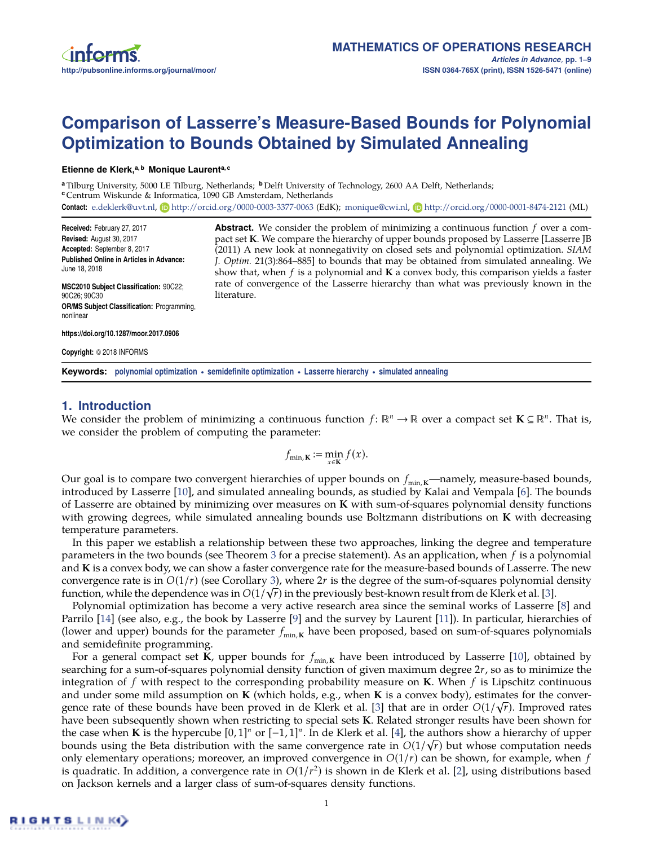

# **Comparison of Lasserre's Measure-Based Bounds for Polynomial Optimization to Bounds Obtained by Simulated Annealing**

#### **Etienne de Klerk,a, b Monique Laurenta, c**

**<sup>a</sup>** Tilburg University, 5000 LE Tilburg, Netherlands; **<sup>b</sup>** Delft University of Technology, 2600 AA Delft, Netherlands; **<sup>c</sup>** Centrum Wiskunde & Informatica, 1090 GB Amsterdam, Netherlands **Contact:** [e.deklerk@uvt.nl,](mailto:e.deklerk@uvt.nl) **b** <http://orcid.org/0000-0003-3377-0063> (EdK); [monique@cwi.nl,](mailto:monique@cwi.nl) **b** <http://orcid.org/0000-0001-8474-2121> (ML)

**Received:** February 27, 2017 **Revised:** August 30, 2017 **Accepted:** September 8, 2017 **Published Online in Articles in Advance:** June 18, 2018

**MSC2010 Subject Classification:** 90C22; 90C26; 90C30 **OR/MS Subject Classification:** Programming, nonlinear

**Abstract.** We consider the problem of minimizing a continuous function *f* over a compact set **K**. We compare the hierarchy of upper bounds proposed by Lasserre [Lasserre JB (2011) A new look at nonnegativity on closed sets and polynomial optimization. *SIAM J. Optim.* 21(3):864–885] to bounds that may be obtained from simulated annealing. We show that, when *f* is a polynomial and **K** a convex body, this comparison yields a faster rate of convergence of the Lasserre hierarchy than what was previously known in the literature.

**https://doi.org/10.1287/moor.2017.0906**

**Copyright:** © 2018 INFORMS

**Keywords: polynomial optimization • semidefinite optimization • Lasserre hierarchy • simulated annealing**

## **1. Introduction**

We consider the problem of minimizing a continuous function  $f: \mathbb{R}^n \to \mathbb{R}$  over a compact set  $K \subseteq \mathbb{R}^n$ . That is, we consider the problem of computing the parameter:

$$
f_{\min, \mathbf{K}} := \min_{x \in \mathbf{K}} f(x).
$$

Our goal is to compare two convergent hierarchies of upper bounds on  $f_{min,K}$ —namely, measure-based bounds, introduced by Lasserre [\[10\]](#page-9-0), and simulated annealing bounds, as studied by Kalai and Vempala [\[6\]](#page-9-1). The bounds of Lasserre are obtained by minimizing over measures on **K** with sum-of-squares polynomial density functions with growing degrees, while simulated annealing bounds use Boltzmann distributions on **K** with decreasing temperature parameters.

In this paper we establish a relationship between these two approaches, linking the degree and temperature parameters in the two bounds (see Theorem [3](#page-5-0) for a precise statement). As an application, when *f* is a polynomial and **K** is a convex body, we can show a faster convergence rate for the measure-based bounds of Lasserre. The new convergence rate is in *O*(1/*r*) (see Corollary [3\)](#page-6-0), where 2*r* is the degree of the sum-of-squares polynomial density √ function, while the dependence was in  $O(1/\sqrt{r})$  in the previously best-known result from de Klerk et al. [\[3\]](#page-9-2).

Polynomial optimization has become a very active research area since the seminal works of Lasserre [\[8\]](#page-9-3) and Parrilo [\[14\]](#page-9-4) (see also, e.g., the book by Lasserre [\[9\]](#page-9-5) and the survey by Laurent [\[11\]](#page-9-6)). In particular, hierarchies of (lower and upper) bounds for the parameter  $f_{min,K}$  have been proposed, based on sum-of-squares polynomials and semidefinite programming.

For a general compact set **K**, upper bounds for  $f_{min,K}$  have been introduced by Lasserre [\[10\]](#page-9-0), obtained by searching for a sum-of-squares polynomial density function of given maximum degree 2*r*, so as to minimize the integration of *f* with respect to the corresponding probability measure on **K**. When *f* is Lipschitz continuous and under some mild assumption on **K** (which holds, e.g., when **K** is a convex body), estimates for the conver-√ gence rate of these bounds have been proved in de Klerk et al. [\[3\]](#page-9-2) that are in order *O*(1/ *r*). Improved rates have been subsequently shown when restricting to special sets **K**. Related stronger results have been shown for the case when **K** is the hypercube  $[0,1]^n$  or  $[-1,1]^n$ . In de Klerk et al. [\[4\]](#page-9-7), the authors show a hierarchy of upper bounds using the Beta distribution with the same convergence rate in  $O(1/\sqrt{r})$  but whose computation needs only elementary operations; moreover, an improved convergence in  $O(1/r)$  can be shown, for example, when  $f$ is quadratic. In addition, a convergence rate in *O*(1/*r* 2 ) is shown in de Klerk et al. [\[2\]](#page-9-8), using distributions based on Jackson kernels and a larger class of sum-of-squares density functions.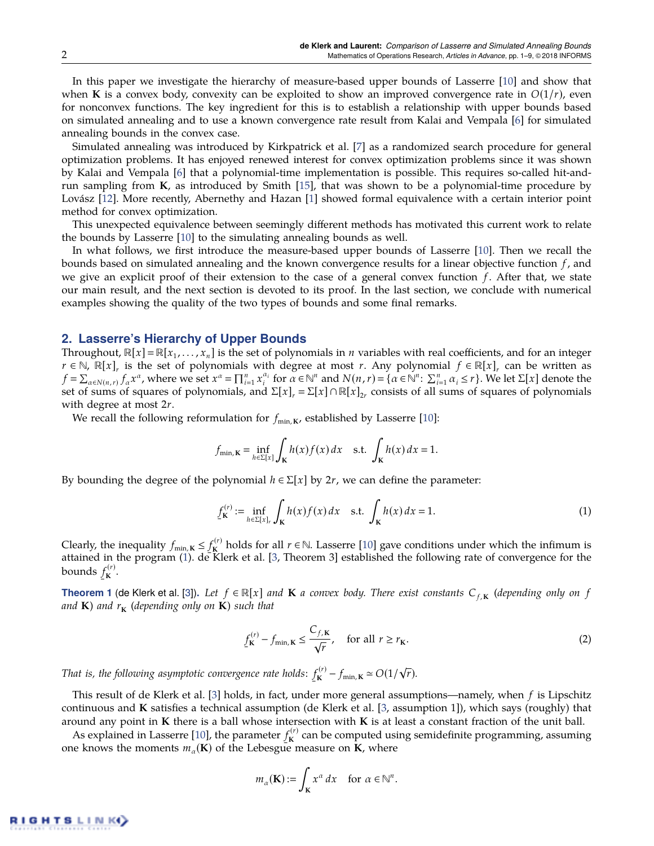In this paper we investigate the hierarchy of measure-based upper bounds of Lasserre [\[10\]](#page-9-0) and show that when **K** is a convex body, convexity can be exploited to show an improved convergence rate in  $O(1/r)$ , even for nonconvex functions. The key ingredient for this is to establish a relationship with upper bounds based on simulated annealing and to use a known convergence rate result from Kalai and Vempala [\[6\]](#page-9-1) for simulated annealing bounds in the convex case.

Simulated annealing was introduced by Kirkpatrick et al. [\[7\]](#page-9-9) as a randomized search procedure for general optimization problems. It has enjoyed renewed interest for convex optimization problems since it was shown by Kalai and Vempala [\[6\]](#page-9-1) that a polynomial-time implementation is possible. This requires so-called hit-andrun sampling from **K**, as introduced by Smith [\[15\]](#page-9-10), that was shown to be a polynomial-time procedure by Lovász [\[12\]](#page-9-11). More recently, Abernethy and Hazan [\[1\]](#page-9-12) showed formal equivalence with a certain interior point method for convex optimization.

This unexpected equivalence between seemingly different methods has motivated this current work to relate the bounds by Lasserre [\[10\]](#page-9-0) to the simulating annealing bounds as well.

In what follows, we first introduce the measure-based upper bounds of Lasserre [\[10\]](#page-9-0). Then we recall the bounds based on simulated annealing and the known convergence results for a linear objective function *f* , and we give an explicit proof of their extension to the case of a general convex function *f* . After that, we state our main result, and the next section is devoted to its proof. In the last section, we conclude with numerical examples showing the quality of the two types of bounds and some final remarks.

## **2. Lasserre's Hierarchy of Upper Bounds**

Throughout,  $\mathbb{R}[x] = \mathbb{R}[x_1, \ldots, x_n]$  is the set of polynomials in *n* variables with real coefficients, and for an integer  $r \in \mathbb{N}$ ,  $\mathbb{R}[x]_r$  is the set of polynomials with degree at most *r*. Any polynomial  $f \in \mathbb{R}[x]_r$  can be written as  $f = \sum_{\alpha \in N(n,r)} f_{\alpha} x^{\alpha}$ , where we set  $x^{\alpha} = \prod_{i=1}^{n} x_i^{\alpha_i}$  for  $\alpha \in \mathbb{N}^n$  and  $N(n,r) = \{ \alpha \in \mathbb{N}^n : \sum_{i=1}^{n} \alpha_i \le r \}$ . We let  $\Sigma[x]$  denote the set of sums of squares of polynomials, and  $\Sigma[x]_r = \Sigma[x] \cap \mathbb{R}[x]_2$ , consists of all sums of squares of polynomials with degree at most 2*r*.

We recall the following reformulation for  $f_{min,K}$ , established by Lasserre [\[10\]](#page-9-0):

$$
f_{\min, \mathbf{K}} = \inf_{h \in \Sigma[x]} \int_{\mathbf{K}} h(x) f(x) dx \quad \text{s.t.} \int_{\mathbf{K}} h(x) dx = 1.
$$

By bounding the degree of the polynomial  $h \in \Sigma[x]$  by 2*r*, we can define the parameter:

<span id="page-2-0"></span>
$$
\underline{f}_{\mathbf{K}}^{(r)} := \inf_{h \in \Sigma[x],} \int_{\mathbf{K}} h(x) f(x) dx \quad \text{s.t.} \int_{\mathbf{K}} h(x) dx = 1. \tag{1}
$$

Clearly, the inequality  $f_{\min,K} \leq$ ¯  $f_{\mathbf{k}}^{(r)}$ **K**<sup>(*r*)</sup> holds for all *r* ∈ N. Lasserre [\[10\]](#page-9-0) gave conditions under which the infimum is attained in the program [\(1\)](#page-2-0). de Klerk et al. [\[3,](#page-9-2) Theorem 3] established the following rate of convergence for the bounds  $f_{\mathbf{K}}^{(r)}$ .<sup>(r)</sup>.<br>**K** 

<span id="page-2-1"></span>**Theorem 1** (de Klerk et al. [\[3\]](#page-9-2)). Let  $f \in \mathbb{R}[x]$  and **K** a convex body. There exist constants  $C_{f,K}$  (depending only on f *and* **K***) and r***<sup>K</sup>** *(depending only on* **K***) such that*

$$
\underline{f}_{\mathbf{K}}^{(r)} - f_{\min, \mathbf{K}} \le \frac{C_{f, \mathbf{K}}}{\sqrt{r}}, \quad \text{for all } r \ge r_{\mathbf{K}}.
$$

*That is, the following asymptotic convergence rate holds:* ¯  $f_{\mathbf{K}}^{(r)} - f_{\min, \mathbf{K}} \simeq O(1/\sqrt{r}).$ 

This result of de Klerk et al. [\[3\]](#page-9-2) holds, in fact, under more general assumptions—namely, when *f* is Lipschitz continuous and **K** satisfies a technical assumption (de Klerk et al. [\[3,](#page-9-2) assumption 1]), which says (roughly) that around any point in **K** there is a ball whose intersection with **K** is at least a constant fraction of the unit ball.

As explained in Lasserre [\[10\]](#page-9-0), the parameter  $f_{\mathbf{k}}^{(r)}$ one knows the moments  $m_\alpha(\mathbf{K})$  of the Lebesgue measure on **K**, where  $K_{\mathbf{K}}^{(V)}$  can be computed using semidefinite programming, assuming

$$
m_{\alpha}(\mathbf{K}) := \int_{\mathbf{K}} x^{\alpha} dx \quad \text{for } \alpha \in \mathbb{N}^{n}.
$$

RIGHTS LINK()

¯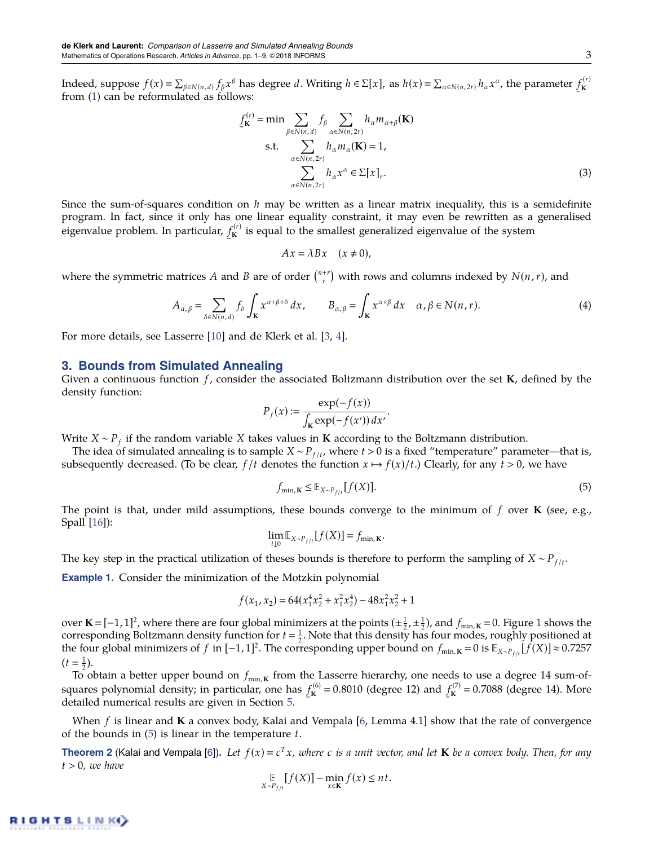Indeed, suppose  $f(x) = \sum_{\beta \in N(n,d)} f_{\beta} x^{\beta}$  has degree d. Writing  $h \in \Sigma[x]_r$  as  $h(x) = \sum_{\alpha \in N(n,2r)} h_{\alpha} x^{\alpha}$ , the parameter ¯  $f_{\mathbf{k}}^{(r)}$ **K** from [\(1\)](#page-2-0) can be reformulated as follows:

$$
f_{\mathbf{K}}^{(r)} = \min \sum_{\beta \in N(n,d)} \sum_{\alpha \in N(n,2r)} h_{\alpha} m_{\alpha+\beta}(\mathbf{K})
$$
  
s.t. 
$$
\sum_{\alpha \in N(n,2r)} h_{\alpha} m_{\alpha}(\mathbf{K}) = 1,
$$

$$
\sum_{\alpha \in N(n,2r)} h_{\alpha} x^{\alpha} \in \Sigma[x]_r.
$$
 (3)

Since the sum-of-squares condition on *h* may be written as a linear matrix inequality, this is a semidefinite program. In fact, since it only has one linear equality constraint, it may even be rewritten as a generalised eigenvalue problem. In particular, ¯  $f_{\mathbf{k}}^{(r)}$  $K_{\mathbf{K}}^{(V)}$  is equal to the smallest generalized eigenvalue of the system

$$
Ax = \lambda Bx \quad (x \neq 0),
$$

where the symmetric matrices A and B are of order  $\binom{n+r}{r}$  with rows and columns indexed by  $N(n,r)$ , and

$$
A_{\alpha,\beta} = \sum_{\delta \in N(n,d)} f_{\delta} \int_{\mathbf{K}} x^{\alpha+\beta+\delta} dx, \qquad B_{\alpha,\beta} = \int_{\mathbf{K}} x^{\alpha+\beta} dx \quad \alpha, \beta \in N(n,r). \tag{4}
$$

For more details, see Lasserre [\[10\]](#page-9-0) and de Klerk et al. [\[3,](#page-9-2) [4\]](#page-9-7).

### **3. Bounds from Simulated Annealing**

Given a continuous function *f* , consider the associated Boltzmann distribution over the set **K**, defined by the density function:

$$
P_f(x) := \frac{\exp(-f(x))}{\int_{\mathbf{K}} \exp(-f(x')) dx'}.
$$

Write *X* ∼ *P<sup>f</sup>* if the random variable *X* takes values in **K** according to the Boltzmann distribution.

The idea of simulated annealing is to sample *X* ∼ *P*<sub>*f*/*t*</sub>, where *t* > 0 is a fixed "temperature" parameter—that is, subsequently decreased. (To be clear,  $f/t$  denotes the function  $x \mapsto f(x)/t$ .) Clearly, for any  $t > 0$ , we have

<span id="page-3-0"></span>
$$
f_{\min, \mathbf{K}} \leq \mathbb{E}_{X \sim P_{f/t}} [f(X)]. \tag{5}
$$

The point is that, under mild assumptions, these bounds converge to the minimum of *f* over **K** (see, e.g., Spall [\[16\]](#page-9-13)):

$$
\lim_{t\downarrow 0}\mathbb{E}_{X\sim P_{f/t}}[f(X)]=f_{\min,K}.
$$

The key step in the practical utilization of theses bounds is therefore to perform the sampling of  $X \sim P_{f/t}$ .

**Example 1.** Consider the minimization of the Motzkin polynomial

$$
f(x_1, x_2) = 64(x_1^4 x_2^2 + x_1^2 x_2^4) - 48x_1^2 x_2^2 + 1
$$

over **K** =  $[-1, 1]^2$  $[-1, 1]^2$  $[-1, 1]^2$ , where there are four global minimizers at the points  $(\pm \frac{1}{2}, \pm \frac{1}{2})$ , and  $f_{\min,K} = 0$ . Figure 1 shows the corresponding Boltzmann density function for  $t = \frac{1}{2}$ . Note that this density has four modes, roughly positioned at the four global minimizers of *f* in [−1, 1]<sup>2</sup>. The corresponding upper bound on  $f_{min,K} = 0$  is  $\mathbb{E}_{X \sim P_{f/t}}[f(X)] \approx 0.7257$  $(t = \frac{1}{2}).$ 

To obtain a better upper bound on  $f_{min,K}$  from the Lasserre hierarchy, one needs to use a degree 14 sum-ofsquares polynomial density; in particular, one has ¯  $f_{\mathbf{K}}^{(6)} = 0.8010$  (degree 12) and  $\mathbf{f}$  $f_{\mathbf{K}}^{(7)} = 0.7088$  (degree 14). More detailed numerical results are given in Section [5.](#page-8-0)

When *f* is linear and **K** a convex body, Kalai and Vempala [\[6,](#page-9-1) Lemma 4.1] show that the rate of convergence of the bounds in [\(5\)](#page-3-0) is linear in the temperature *t*.

<span id="page-3-1"></span>**Theorem 2** (Kalai and Vempala [\[6\]](#page-9-1)). Let  $f(x) = c^T x$ , where c is a unit vector, and let **K** be a convex body. Then, for any  $t > 0$ *, we have* 

$$
\mathop{\mathbb{E}}_{X \sim P_{f/t}} [f(X)] - \min_{x \in \mathbf{K}} f(x) \le nt.
$$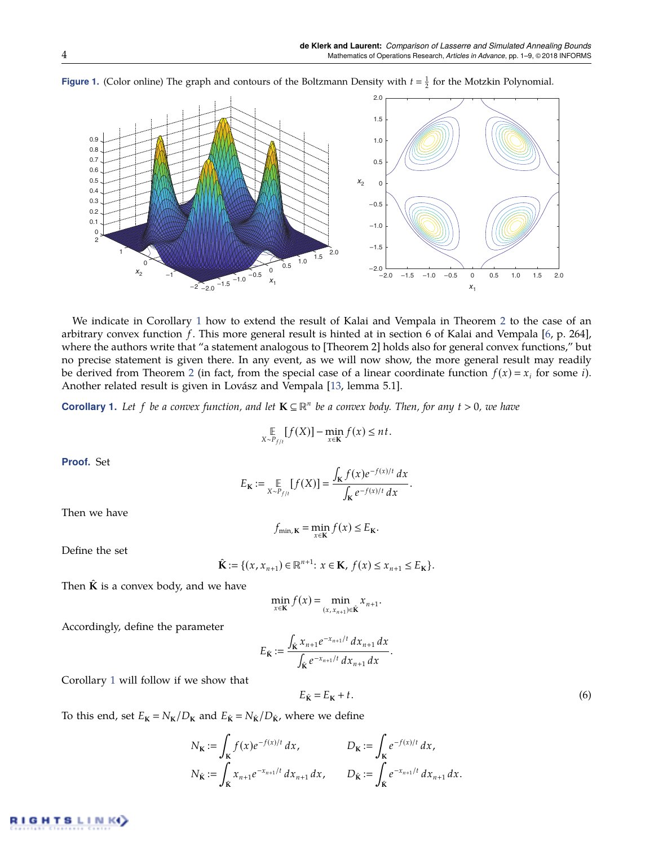<span id="page-4-0"></span>

**Figure 1.** (Color online) The graph and contours of the Boltzmann Density with  $t = \frac{1}{2}$  for the Motzkin Polynomial.

We indicate in Corollary [1](#page-4-1) how to extend the result of Kalai and Vempala in Theorem [2](#page-3-1) to the case of an arbitrary convex function *f*. This more general result is hinted at in section 6 of Kalai and Vempala [\[6,](#page-9-1) p. 264], where the authors write that "a statement analogous to [Theorem 2] holds also for general convex functions," but no precise statement is given there. In any event, as we will now show, the more general result may readily be derived from Theorem [2](#page-3-1) (in fact, from the special case of a linear coordinate function  $f(x) = x_i$  for some *i*). Another related result is given in Lovász and Vempala [\[13,](#page-9-14) lemma 5.1].

<span id="page-4-1"></span>**Corollary 1.** Let f be a convex function, and let  $K \subseteq \mathbb{R}^n$  be a convex body. Then, for any  $t > 0$ , we have

$$
\mathop{\mathbb{E}}_{X \sim P_{f/t}} [f(X)] - \min_{x \in \mathbf{K}} f(x) \le nt.
$$

**Proof.** Set

$$
E_{\mathbf{K}} := \mathop{\mathbb{E}}_{X \sim P_{f/t}} [f(X)] = \frac{\int_{\mathbf{K}} f(x) e^{-f(x)/t} dx}{\int_{\mathbf{K}} e^{-f(x)/t} dx}
$$

Then we have

$$
f_{\min, \mathbf{K}} = \min_{x \in \mathbf{K}} f(x) \le E_{\mathbf{K}}.
$$

Define the set

$$
\hat{\mathbf{K}} := \{ (x, x_{n+1}) \in \mathbb{R}^{n+1} : x \in \mathbf{K}, f(x) \le x_{n+1} \le E_{\mathbf{K}} \}.
$$

Then  $\hat{K}$  is a convex body, and we have

$$
\min_{x \in \mathbf{K}} f(x) = \min_{(x, x_{n+1}) \in \hat{\mathbf{K}}} x_{n+1}.
$$

Accordingly, define the parameter

$$
E_{\hat{\mathbf{K}}} := \frac{\int_{\hat{\mathbf{K}}} x_{n+1} e^{-x_{n+1}/t} dx_{n+1} dx}{\int_{\hat{\mathbf{K}}} e^{-x_{n+1}/t} dx_{n+1} dx}.
$$

Corollary [1](#page-4-1) will follow if we show that

<span id="page-4-2"></span>
$$
E_{\hat{\mathbf{K}}} = E_{\mathbf{K}} + t. \tag{6}
$$

.

To this end, set  $E_K = N_K/D_K$  and  $E_{\hat{K}} = N_{\hat{K}}/D_{\hat{K}}$ , where we define

$$
N_{\mathbf{K}} := \int_{\mathbf{K}} f(x) e^{-f(x)/t} dx, \qquad D_{\mathbf{K}} := \int_{\mathbf{K}} e^{-f(x)/t} dx,
$$
  

$$
N_{\hat{\mathbf{K}}} := \int_{\hat{\mathbf{K}}} x_{n+1} e^{-x_{n+1}/t} dx_{n+1} dx, \qquad D_{\hat{\mathbf{K}}} := \int_{\hat{\mathbf{K}}} e^{-x_{n+1}/t} dx_{n+1} dx.
$$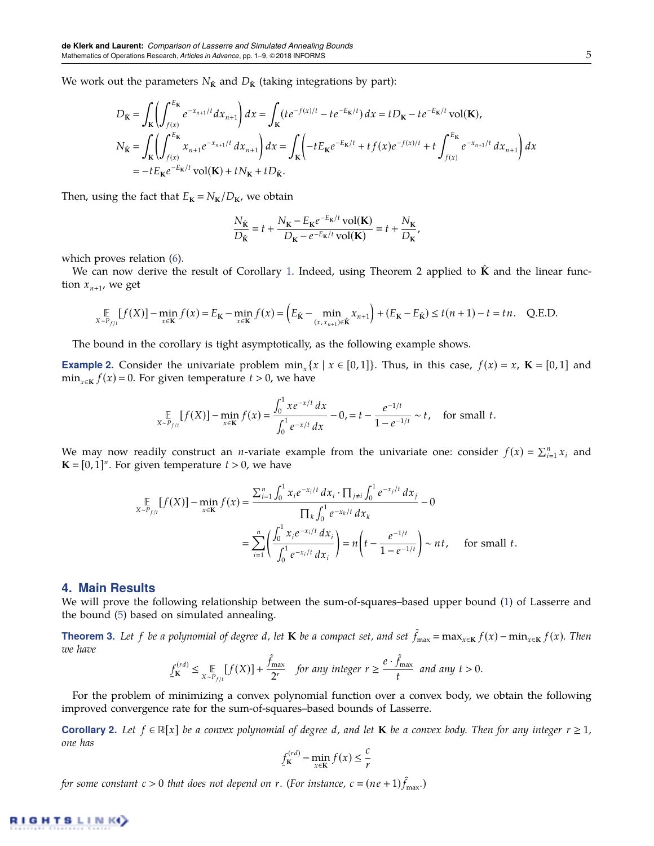We work out the parameters  $N_{\hat{\mathbf{K}}}$  and  $D_{\hat{\mathbf{K}}}$  (taking integrations by part):

$$
D_{\hat{\mathbf{K}}} = \int_{\mathbf{K}} \left( \int_{f(x)}^{E_{\mathbf{K}}} e^{-x_{n+1}/t} dx_{n+1} \right) dx = \int_{\mathbf{K}} (te^{-f(x)/t} - te^{-E_{\mathbf{K}}/t}) dx = tD_{\mathbf{K}} - te^{-E_{\mathbf{K}}/t} \text{vol}(\mathbf{K}),
$$
  
\n
$$
N_{\hat{\mathbf{K}}} = \int_{\mathbf{K}} \left( \int_{f(x)}^{E_{\mathbf{K}}} x_{n+1} e^{-x_{n+1}/t} dx_{n+1} \right) dx = \int_{\mathbf{K}} \left( -tE_{\mathbf{K}} e^{-E_{\mathbf{K}}/t} + tf(x) e^{-f(x)/t} + t \int_{f(x)}^{E_{\mathbf{K}}} e^{-x_{n+1}/t} dx_{n+1} \right) dx
$$
  
\n
$$
= -tE_{\mathbf{K}} e^{-E_{\mathbf{K}}/t} \text{vol}(\mathbf{K}) + tN_{\mathbf{K}} + tD_{\hat{\mathbf{K}}}.
$$

Then, using the fact that  $E_K = N_K/D_K$ , we obtain

$$
\frac{N_{\hat{\mathbf{K}}}}{D_{\hat{\mathbf{K}}}} = t + \frac{N_{\mathbf{K}} - E_{\mathbf{K}}e^{-E_{\mathbf{K}}/t}\text{vol}(\mathbf{K})}{D_{\mathbf{K}} - e^{-E_{\mathbf{K}}/t}\text{vol}(\mathbf{K})} = t + \frac{N_{\mathbf{K}}}{D_{\mathbf{K}}},
$$

which proves relation [\(6\)](#page-4-2).

We can now derive the result of Corollary [1.](#page-4-1) Indeed, using Theorem 2 applied to  $\hat{\mathbf{K}}$  and the linear function  $x_{n+1}$ , we get

$$
\mathop{\mathbb{E}}_{X \sim P_{f/t}} [f(X)] - \min_{x \in \mathbf{K}} f(x) = E_{\mathbf{K}} - \min_{x \in \mathbf{K}} f(x) = \left( E_{\hat{\mathbf{K}}} - \min_{(x, x_{n+1}) \in \hat{\mathbf{K}}} x_{n+1} \right) + \left( E_{\mathbf{K}} - E_{\hat{\mathbf{K}}} \right) \le t(n+1) - t = tn. \quad \text{Q.E.D.}
$$

The bound in the corollary is tight asymptotically, as the following example shows.

<span id="page-5-2"></span>**Example 2.** Consider the univariate problem  $\min_x \{x \mid x \in [0,1]\}$ . Thus, in this case,  $f(x) = x$ ,  $\mathbf{K} = [0,1]$  and min<sub>*x*∈**K**  $f(x) = 0$ . For given temperature  $t > 0$ , we have</sub>

$$
\mathop{\mathbb{E}}_{X \sim P_{f/t}} [f(X)] - \min_{x \in \mathbf{K}} f(x) = \frac{\int_0^1 x e^{-x/t} dx}{\int_0^1 e^{-x/t} dx} - 0, \quad t - \frac{e^{-1/t}}{1 - e^{-1/t}} \sim t, \quad \text{for small } t.
$$

We may now readily construct an *n*-variate example from the univariate one: consider  $f(x) = \sum_{i=1}^{n} x_i$  and  $\mathbf{K} = [0, 1]^n$ . For given temperature  $t > 0$ , we have

$$
\mathbb{E}_{X \sim P_{f/l}}[f(X)] - \min_{x \in \mathbf{K}} f(x) = \frac{\sum_{i=1}^{n} \int_{0}^{1} x_{i} e^{-x_{i}/t} dx_{i} \cdot \prod_{j \neq i} \int_{0}^{1} e^{-x_{j}/t} dx_{j}}{\prod_{k} \int_{0}^{1} e^{-x_{k}/t} dx_{k}} - 0
$$
\n
$$
= \sum_{i=1}^{n} \left( \frac{\int_{0}^{1} x_{i} e^{-x_{i}/t} dx_{i}}{\int_{0}^{1} e^{-x_{i}/t} dx_{i}} \right) = n \left( t - \frac{e^{-1/t}}{1 - e^{-1/t}} \right) \sim nt, \quad \text{for small } t.
$$

## **4. Main Results**

We will prove the following relationship between the sum-of-squares–based upper bound [\(1\)](#page-2-0) of Lasserre and the bound [\(5\)](#page-3-0) based on simulated annealing.

<span id="page-5-0"></span>**Theorem 3.** Let f be a polynomial of degree d, let **K** be a compact set, and set  $\hat{f}_{\max} = \max_{x \in K} f(x) - \min_{x \in K} f(x)$ . Then *we have*

$$
\underline{f}_{\mathbf{K}}^{(rd)} \leq \underset{X \sim P_{f/t}}{\mathbb{E}} [f(X)] + \frac{\hat{f}_{\text{max}}}{2^r} \quad \text{for any integer } r \geq \frac{e \cdot \hat{f}_{\text{max}}}{t} \text{ and any } t > 0.
$$

For the problem of minimizing a convex polynomial function over a convex body, we obtain the following improved convergence rate for the sum-of-squares–based bounds of Lasserre.

<span id="page-5-1"></span>**Corollary 2.** Let  $f \in \mathbb{R}[x]$  be a convex polynomial of degree d, and let **K** be a convex body. Then for any integer  $r \geq 1$ , *one has*

$$
f_{\mathbf{K}}^{(rd)} - \min_{x \in \mathbf{K}} f(x) \le \frac{c}{r}
$$

*for some constant*  $c > 0$  *that does not depend on r.* (For instance,  $c = (ne + 1)\hat{f}_{\text{max}}$ .)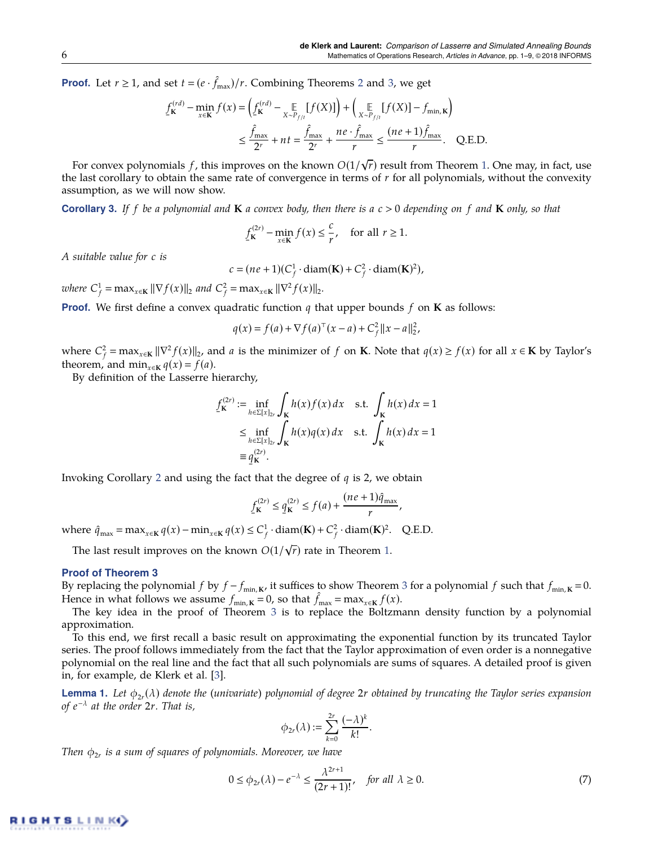**Proof.** Let  $r \ge 1$ , and set  $t = (e \cdot \hat{f}_{\text{max}})/r$ . Combining Theorems [2](#page-3-1) and [3,](#page-5-0) we get

$$
\underline{f}_{\mathbf{K}}^{(rd)} - \min_{x \in \mathbf{K}} f(x) = \left( \underline{f}_{\mathbf{K}}^{(rd)} - \mathop{\mathbb{E}}_{X \sim P_{f/l}} [f(X)] \right) + \left( \mathop{\mathbb{E}}_{X \sim P_{f/l}} [f(X)] - f_{\min, \mathbf{K}} \right)
$$
\n
$$
\leq \frac{\hat{f}_{\max}}{2^r} + nt = \frac{\hat{f}_{\max}}{2^r} + \frac{ne \cdot \hat{f}_{\max}}{r} \leq \frac{(ne+1)\hat{f}_{\max}}{r}.
$$
 Q.E.D.

For convex polynomials *f* , this improves on the known *O*(1/ √ *r*) result from Theorem [1.](#page-2-1) One may, in fact, use the last corollary to obtain the same rate of convergence in terms of *r* for all polynomials, without the convexity assumption, as we will now show.

<span id="page-6-0"></span>**Corollary 3.** *If f be a polynomial and* **K** *a convex body, then there is a c* > 0 *depending on f and* **K** *only, so that*

$$
\underline{f}_{\mathbf{K}}^{(2r)} - \min_{x \in \mathbf{K}} f(x) \le \frac{c}{r}, \quad \text{for all } r \ge 1.
$$

*A suitable value for c is*

$$
c = (ne + 1)(C_f^1 \cdot \text{diam}(\mathbf{K}) + C_f^2 \cdot \text{diam}(\mathbf{K})^2),
$$

*where*  $C_f^1 = \max_{x \in \mathbf{K}} ||\nabla f(x)||_2$  and  $C_f^2 = \max_{x \in \mathbf{K}} ||\nabla^2 f(x)||_2$ .

**Proof.** We first define a convex quadratic function  $q$  that upper bounds  $f$  on **K** as follows:

$$
q(x) = f(a) + \nabla f(a)^{\top}(x - a) + C_f^2 ||x - a||_2^2,
$$

where  $C_f^2 = \max_{x \in \mathbf{K}} ||\nabla^2 f(x)||_2$ , and *a* is the minimizer of *f* on **K**. Note that  $q(x) \ge f(x)$  for all  $x \in \mathbf{K}$  by Taylor's theorem, and min<sub>*x*∈**K**</sub>  $q(x) = f(a)$ .

By definition of the Lasserre hierarchy,

$$
f_{\mathbf{K}}^{(2r)} := \inf_{h \in \Sigma[x]_{2r}} \int_{\mathbf{K}} h(x) f(x) dx \quad \text{s.t.} \int_{\mathbf{K}} h(x) dx = 1
$$
  
\n
$$
\leq \inf_{h \in \Sigma[x]_{2r}} \int_{\mathbf{K}} h(x) q(x) dx \quad \text{s.t.} \int_{\mathbf{K}} h(x) dx = 1
$$
  
\n
$$
\equiv q_{\mathbf{K}}^{(2r)}.
$$

¯ Invoking Corollary [2](#page-5-1) and using the fact that the degree of *q* is 2, we obtain

$$
\underline{f}_{\mathbf{K}}^{(2r)} \le \underline{q}_{\mathbf{K}}^{(2r)} \le f(a) + \frac{(ne+1)\hat{q}_{\max}}{r},
$$

where  $\hat{q}_{\text{max}} = \max_{x \in \mathbf{K}} q(x) - \min_{x \in \mathbf{K}} q(x) \leq C_f^1 \cdot \text{diam}(\mathbf{K}) + C_f^2 \cdot \text{diam}(\mathbf{K})^2$ . Q.E.D. √

The last result improves on the known  $O(1/\sqrt{r})$  rate in Theorem [1.](#page-2-1)

#### **Proof of Theorem [3](#page-5-0)**

By replacing the polynomial *f* by  $f - f_{min,K}$ , it suffices to show Theorem [3](#page-5-0) for a polynomial *f* such that  $f_{min,K} = 0$ . Hence in what follows we assume  $f_{min, K} = 0$ , so that  $\hat{f}_{max} = max_{x \in K} f(x)$ .

The key idea in the proof of Theorem [3](#page-5-0) is to replace the Boltzmann density function by a polynomial approximation.

To this end, we first recall a basic result on approximating the exponential function by its truncated Taylor series. The proof follows immediately from the fact that the Taylor approximation of even order is a nonnegative polynomial on the real line and the fact that all such polynomials are sums of squares. A detailed proof is given in, for example, de Klerk et al. [\[3\]](#page-9-2).

<span id="page-6-2"></span>**Lemma 1.** Let  $\phi_{2r}(\lambda)$  denote the (univariate) polynomial of degree 2r obtained by truncating the Taylor series expansion *of e* −λ *at the order* 2*r. That is,*

$$
\phi_{2r}(\lambda) := \sum_{k=0}^{2r} \frac{(-\lambda)^k}{k!}.
$$

*Then* φ2*<sup>r</sup> is a sum of squares of polynomials. Moreover, we have*

<span id="page-6-1"></span>
$$
0 \le \phi_{2r}(\lambda) - e^{-\lambda} \le \frac{\lambda^{2r+1}}{(2r+1)!}, \quad \text{for all } \lambda \ge 0.
$$
 (7)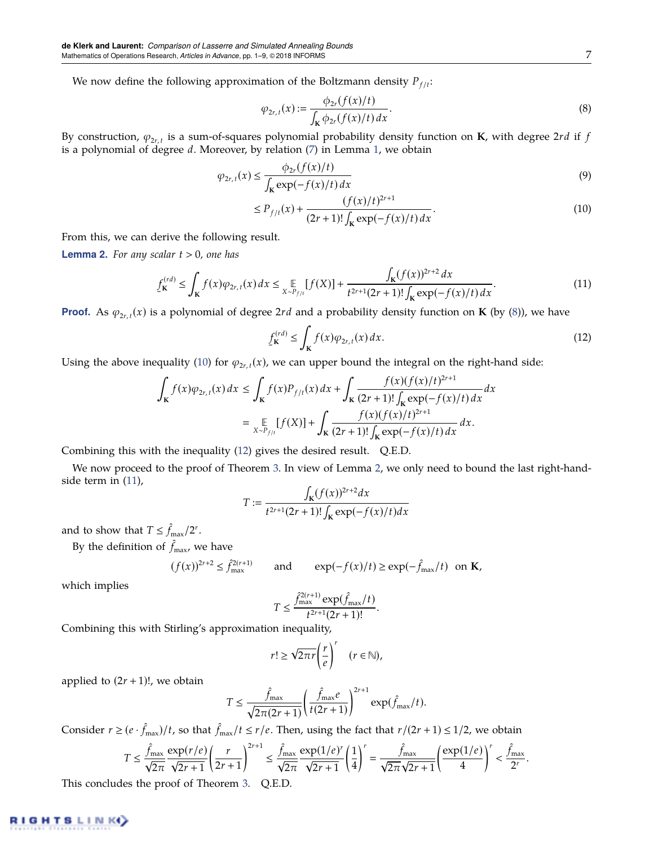We now define the following approximation of the Boltzmann density  $P_{f/t}$ :

<span id="page-7-0"></span>
$$
\varphi_{2r,t}(x) := \frac{\phi_{2r}(f(x)/t)}{\int_{\mathbf{K}} \phi_{2r}(f(x)/t) \, dx}.\tag{8}
$$

By construction,  $\varphi_{2r,t}$  is a sum-of-squares polynomial probability density function on **K**, with degree 2*rd* if  $f$ is a polynomial of degree *d*. Moreover, by relation [\(7\)](#page-6-1) in Lemma [1,](#page-6-2) we obtain

$$
\varphi_{2r,t}(x) \le \frac{\phi_{2r}(f(x)/t)}{\int_{\mathbf{k}} \exp(-f(x)/t) dx}
$$
\n(9)

<span id="page-7-1"></span>
$$
\leq P_{f/t}(x) + \frac{(f(x)/t)^{2r+1}}{(2r+1)!\int_{\mathbf{K}} \exp(-f(x)/t) dx}.
$$
\n(10)

From this, we can derive the following result.

<span id="page-7-3"></span>**Lemma 2.** *For any scalar t* > 0*, one has*

<span id="page-7-4"></span>
$$
\underline{f}_{\mathbf{K}}^{(rd)} \le \int_{\mathbf{K}} f(x) \varphi_{2r,t}(x) dx \le \mathop{\mathbb{E}}_{X \sim P_{f/t}} [f(X)] + \frac{\int_{\mathbf{K}} (f(x))^{2r+2} dx}{t^{2r+1} (2r+1)! \int_{\mathbf{K}} \exp(-f(x)/t) dx}.
$$
\n(11)

**Proof.** As  $\varphi_{2r,t}(x)$  is a polynomial of degree 2rd and a probability density function on **K** (by [\(8\)](#page-7-0)), we have

<span id="page-7-2"></span>
$$
\underline{f}_{\mathbf{K}}^{(rd)} \le \int_{\mathbf{K}} f(x) \varphi_{2r,t}(x) dx.
$$
 (12)

Using the above inequality [\(10\)](#page-7-1) for  $\varphi_{2r,t}(x)$ , we can upper bound the integral on the right-hand side:

$$
\int_{\mathbf{K}} f(x) \varphi_{2r,t}(x) dx \le \int_{\mathbf{K}} f(x) P_{f/t}(x) dx + \int_{\mathbf{K}} \frac{f(x) (f(x)/t)^{2r+1}}{(2r+1)! \int_{\mathbf{K}} \exp(-f(x)/t) dx} dx
$$

$$
= \mathop{\mathbb{E}}_{X \sim P_{f/t}} [f(X)] + \int_{\mathbf{K}} \frac{f(x) (f(x)/t)^{2r+1}}{(2r+1)! \int_{\mathbf{K}} \exp(-f(x)/t) dx} dx.
$$

Combining this with the inequality [\(12\)](#page-7-2) gives the desired result. Q.E.D.

We now proceed to the proof of Theorem [3.](#page-5-0) In view of Lemma [2,](#page-7-3) we only need to bound the last right-handside term in [\(11\)](#page-7-4),

$$
T := \frac{\int_{\mathbf{K}} (f(x))^{2r+2} dx}{t^{2r+1} (2r+1)! \int_{\mathbf{K}} \exp(-f(x)/t) dx}
$$

and to show that  $T \leq \hat{f}_{\text{max}}/2^r$ .

By the definition of  $\hat{f}_{\text{max}}$ , we have

$$
(f(x))^{2r+2} \le \hat{f}_{\text{max}}^{2(r+1)} \qquad \text{and} \qquad \exp(-f(x)/t) \ge \exp(-\hat{f}_{\text{max}}/t) \quad \text{on } \mathbf{K},
$$

which implies

$$
T \le \frac{\hat{f}_{\text{max}}^{2(r+1)} \exp(\hat{f}_{\text{max}}/t)}{t^{2r+1}(2r+1)!}.
$$

Combining this with Stirling's approximation inequality,

$$
r! \geq \sqrt{2\pi r} \left(\frac{r}{e}\right)^r \quad (r \in \mathbb{N}),
$$

applied to  $(2r + 1)!$ , we obtain

$$
T \leq \frac{\hat{f}_{\max}}{\sqrt{2\pi(2r+1)}} \left(\frac{\hat{f}_{\max}e}{t(2r+1)}\right)^{2r+1} \exp(\hat{f}_{\max}/t).
$$

Consider  $r \ge (e \cdot \hat{f}_{\text{max}})/t$ , so that  $\hat{f}_{\text{max}}/t \le r/e$ . Then, using the fact that  $r/(2r+1) \le 1/2$ , we obtain

$$
T \leq \frac{\hat{f}_{\max}}{\sqrt{2\pi}} \frac{\exp(r/e)}{\sqrt{2r+1}} \left(\frac{r}{2r+1}\right)^{2r+1} \leq \frac{\hat{f}_{\max}}{\sqrt{2\pi}} \frac{\exp(1/e)^r}{\sqrt{2r+1}} \left(\frac{1}{4}\right)^r = \frac{\hat{f}_{\max}}{\sqrt{2\pi}} \frac{\exp(1/e)}{\sqrt{2r+1}} \left(\frac{\exp(1/e)}{4}\right)^r < \frac{\hat{f}_{\max}}{2^r}.
$$

This concludes the proof of Theorem [3.](#page-5-0) Q.E.D.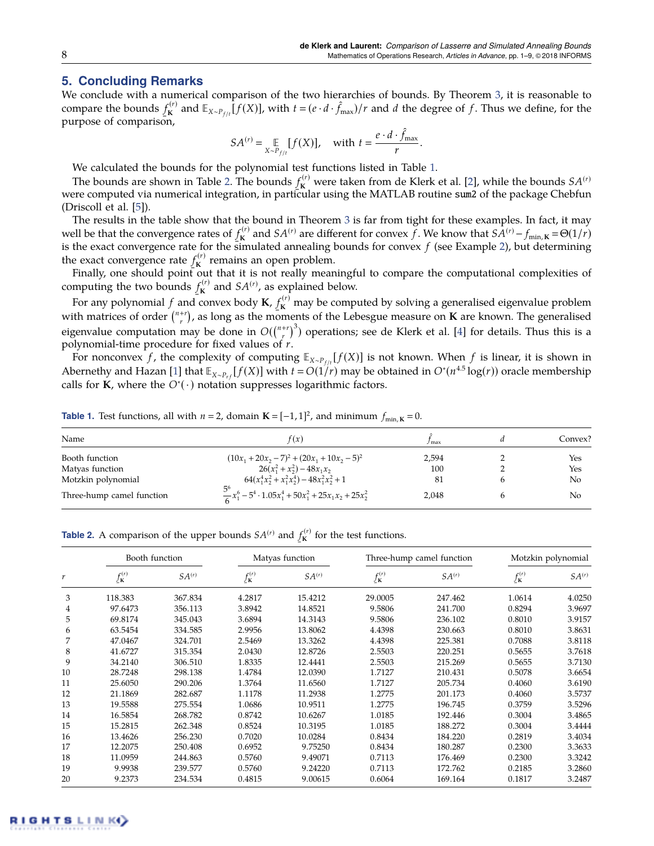# <span id="page-8-0"></span>**5. Concluding Remarks**

We conclude with a numerical comparison of the two hierarchies of bounds. By Theorem [3,](#page-5-0) it is reasonable to compare the bounds  $f_{\mathbf{k}}^{(r)}$ purpose of comparison,  $\int_{\mathbf{K}}^{f(r)}$  and  $\mathbb{E}_{X \sim P_{f/t}}[f(X)]$ , with  $t = (e \cdot d \cdot \hat{f}_{\text{max}})/r$  and *d* the degree of *f*. Thus we define, for the

$$
SA^{(r)} = \mathop{\mathbb{E}}_{X \sim P_{f/t}} [f(X)], \quad \text{with } t = \frac{e \cdot d \cdot \hat{f}_{\text{max}}}{r}.
$$

We calculated the bounds for the polynomial test functions listed in Table [1.](#page-8-1)

The bounds are shown in Table [2.](#page-8-2) The bounds ۔<br>Lo  $f_{\mathbf{K}}^{(r)}$  were taken from de Klerk et al. [\[2\]](#page-9-8), while the bounds  $SA^{(r)}$ were computed via numerical integration, in particular using the MATLAB routine sum2 of the package Chebfun (Driscoll et al. [\[5\]](#page-9-15)).

The results in the table show that the bound in Theorem [3](#page-5-0) is far from tight for these examples. In fact, it may well be that the convergence rates of  $f_{\mathbf{K}}^{(r)}$ is the exact convergence rate for the simulated annealing bounds for convex  $f$  (see Example [2\)](#page-5-2), but determining **K** and *SA*<sup>(*r*)</sup> are different for convex *f*. We know that  $SA^{(r)} - f_{\min,K} = \Theta(1/r)$ the exact convergence rate  $f_{\mathbf{k}}^{(r)}$  $\kappa$ <sup>(*i*</sup>) remains an open problem.

Finally, one should point out that it is not really meaningful to compare the computational complexities of computing the two bounds  $f_{\mathbf{k}}^{(r)}$  $K_{\mathbf{K}}^{(r)}$  and  $SA^{(r)}$ , as explained below.

For any polynomial f and convex body  $K$ ,  $f_K^{(r)}$  may be computed by solving a generalised eigenvalue problem with matrices of order  $\binom{n+r}{r}$ , as long as the moments of the Lebesgue measure on **K** are known. The generalised eigenvalue computation may be done in  $O({n+r \choose r}^3)$  operations; see de Klerk et al. [\[4\]](#page-9-7) for details. Thus this is a polynomial-time procedure for fixed values of *r*.

For nonconvex *f* , the complexity of computing Ɛ*X*∼*P<sup>f</sup>* /*<sup>t</sup>* [ *f* (*X*)] is not known. When *f* is linear, it is shown in Abernethy and Hazan [\[1\]](#page-9-12) that  $\mathbb{E}_{X \sim P_{rf}}[f(X)]$  with  $t = O(1/r)$  may be obtained in  $O^*(n^{4.5} \log(r))$  oracle membership calls for  $\mathbf{K}$ , where the  $O^*(\cdot)$  notation suppresses logarithmic factors.

<span id="page-8-1"></span>**Table 1.** Test functions, all with  $n = 2$ , domain  $\mathbf{K} = [-1, 1]^2$ , and minimum  $f_{\min, \mathbf{K}} = 0$ .

| Name                      | f(x)                                                                                      | / max |  | Convex? |  |
|---------------------------|-------------------------------------------------------------------------------------------|-------|--|---------|--|
| Booth function            | $(10x_1 + 20x_2 - 7)^2 + (20x_1 + 10x_2 - 5)^2$                                           | 2.594 |  | Yes     |  |
| Matyas function           | $26(x_1^2 + x_2^2) - 48x_1x_2$                                                            | 100   |  | Yes     |  |
| Motzkin polynomial        | $64(x_1^4x_2^2+x_1^2x_2^4)-48x_1^2x_2^2+1$                                                | 81    |  | No      |  |
| Three-hump camel function | 5 <sup>6</sup><br>$\frac{3}{6}x_1^6 - 5^4 \cdot 1.05x_1^4 + 50x_1^2 + 25x_1x_2 + 25x_2^2$ | 2.048 |  | No      |  |

<span id="page-8-2"></span>**Table 2.** A comparison of the upper bounds  $SA<sup>(r)</sup>$  and  $f<sub>K</sub><sup>(r)</sup>$  for the test functions.

|                  | Booth function    |                   | Matyas function   |                   | Three-hump camel function |                   | Motzkin polynomial |                   |
|------------------|-------------------|-------------------|-------------------|-------------------|---------------------------|-------------------|--------------------|-------------------|
| $\boldsymbol{r}$ | $f_{\bf k}^{(r)}$ | SA <sup>(r)</sup> | $f_{\bf k}^{(r)}$ | SA <sup>(r)</sup> | $f_{\bf k}^{(r)}$         | SA <sup>(r)</sup> | $f_{\bf k}^{(r)}$  | SA <sup>(r)</sup> |
| 3                | 118.383           | 367.834           | 4.2817            | 15.4212           | 29.0005                   | 247.462           | 1.0614             | 4.0250            |
| 4                | 97.6473           | 356.113           | 3.8942            | 14.8521           | 9.5806                    | 241.700           | 0.8294             | 3.9697            |
| 5                | 69.8174           | 345.043           | 3.6894            | 14.3143           | 9.5806                    | 236.102           | 0.8010             | 3.9157            |
| 6                | 63.5454           | 334.585           | 2.9956            | 13.8062           | 4.4398                    | 230.663           | 0.8010             | 3.8631            |
|                  | 47.0467           | 324.701           | 2.5469            | 13.3262           | 4.4398                    | 225.381           | 0.7088             | 3.8118            |
| 8                | 41.6727           | 315.354           | 2.0430            | 12.8726           | 2.5503                    | 220.251           | 0.5655             | 3.7618            |
| 9                | 34.2140           | 306.510           | 1.8335            | 12.4441           | 2.5503                    | 215.269           | 0.5655             | 3.7130            |
| 10               | 28.7248           | 298.138           | 1.4784            | 12.0390           | 1.7127                    | 210.431           | 0.5078             | 3.6654            |
| 11               | 25.6050           | 290.206           | 1.3764            | 11.6560           | 1.7127                    | 205.734           | 0.4060             | 3.6190            |
| 12               | 21.1869           | 282.687           | 1.1178            | 11.2938           | 1.2775                    | 201.173           | 0.4060             | 3.5737            |
| 13               | 19.5588           | 275.554           | 1.0686            | 10.9511           | 1.2775                    | 196.745           | 0.3759             | 3.5296            |
| 14               | 16.5854           | 268.782           | 0.8742            | 10.6267           | 1.0185                    | 192.446           | 0.3004             | 3.4865            |
| 15               | 15.2815           | 262.348           | 0.8524            | 10.3195           | 1.0185                    | 188.272           | 0.3004             | 3.4444            |
| 16               | 13.4626           | 256.230           | 0.7020            | 10.0284           | 0.8434                    | 184.220           | 0.2819             | 3.4034            |
| 17               | 12.2075           | 250.408           | 0.6952            | 9.75250           | 0.8434                    | 180.287           | 0.2300             | 3.3633            |
| 18               | 11.0959           | 244.863           | 0.5760            | 9.49071           | 0.7113                    | 176.469           | 0.2300             | 3.3242            |
| 19               | 9.9938            | 239.577           | 0.5760            | 9.24220           | 0.7113                    | 172.762           | 0.2185             | 3.2860            |
| 20               | 9.2373            | 234.534           | 0.4815            | 9.00615           | 0.6064                    | 169.164           | 0.1817             | 3.2487            |